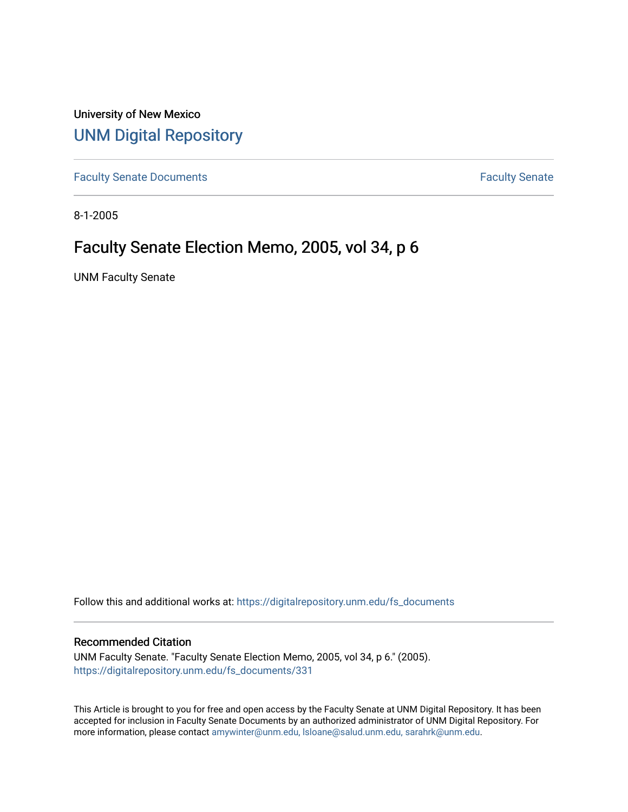University of New Mexico [UNM Digital Repository](https://digitalrepository.unm.edu/) 

[Faculty Senate Documents](https://digitalrepository.unm.edu/fs_documents) **Faculty** Senate **Faculty** Senate

8-1-2005

# Faculty Senate Election Memo, 2005, vol 34, p 6

UNM Faculty Senate

Follow this and additional works at: [https://digitalrepository.unm.edu/fs\\_documents](https://digitalrepository.unm.edu/fs_documents?utm_source=digitalrepository.unm.edu%2Ffs_documents%2F331&utm_medium=PDF&utm_campaign=PDFCoverPages)

#### Recommended Citation

UNM Faculty Senate. "Faculty Senate Election Memo, 2005, vol 34, p 6." (2005). [https://digitalrepository.unm.edu/fs\\_documents/331](https://digitalrepository.unm.edu/fs_documents/331?utm_source=digitalrepository.unm.edu%2Ffs_documents%2F331&utm_medium=PDF&utm_campaign=PDFCoverPages)

This Article is brought to you for free and open access by the Faculty Senate at UNM Digital Repository. It has been accepted for inclusion in Faculty Senate Documents by an authorized administrator of UNM Digital Repository. For more information, please contact [amywinter@unm.edu, lsloane@salud.unm.edu, sarahrk@unm.edu](mailto:amywinter@unm.edu,%20lsloane@salud.unm.edu,%20sarahrk@unm.edu).